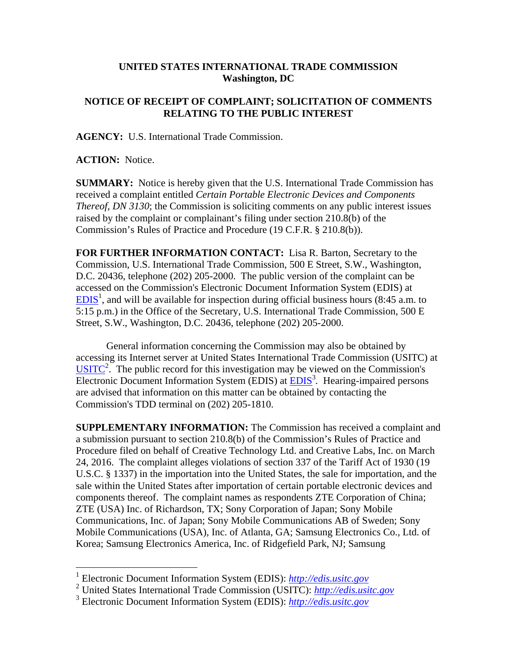## **UNITED STATES INTERNATIONAL TRADE COMMISSION Washington, DC**

## **NOTICE OF RECEIPT OF COMPLAINT; SOLICITATION OF COMMENTS RELATING TO THE PUBLIC INTEREST**

**AGENCY:** U.S. International Trade Commission.

**ACTION:** Notice.

1

**SUMMARY:** Notice is hereby given that the U.S. International Trade Commission has received a complaint entitled *Certain Portable Electronic Devices and Components Thereof, DN 3130*; the Commission is soliciting comments on any public interest issues raised by the complaint or complainant's filing under section 210.8(b) of the Commission's Rules of Practice and Procedure (19 C.F.R. § 210.8(b)).

**FOR FURTHER INFORMATION CONTACT:** Lisa R. Barton, Secretary to the Commission, U.S. International Trade Commission, 500 E Street, S.W., Washington, D.C. 20436, telephone (202) 205-2000. The public version of the complaint can be accessed on the Commission's Electronic Document Information System (EDIS) at  $EDIS<sup>1</sup>$ , and will be available for inspection during official business hours (8:45 a.m. to 5:15 p.m.) in the Office of the Secretary, U.S. International Trade Commission, 500 E Street, S.W., Washington, D.C. 20436, telephone (202) 205-2000.

General information concerning the Commission may also be obtained by accessing its Internet server at United States International Trade Commission (USITC) at  $\overline{\text{USITC}}^2$ . The public record for this investigation may be viewed on the Commission's Electronic Document Information System (EDIS) at **EDIS**<sup>3</sup>. Hearing-impaired persons are advised that information on this matter can be obtained by contacting the Commission's TDD terminal on (202) 205-1810.

**SUPPLEMENTARY INFORMATION:** The Commission has received a complaint and a submission pursuant to section 210.8(b) of the Commission's Rules of Practice and Procedure filed on behalf of Creative Technology Ltd. and Creative Labs, Inc. on March 24, 2016. The complaint alleges violations of section 337 of the Tariff Act of 1930 (19 U.S.C. § 1337) in the importation into the United States, the sale for importation, and the sale within the United States after importation of certain portable electronic devices and components thereof. The complaint names as respondents ZTE Corporation of China; ZTE (USA) Inc. of Richardson, TX; Sony Corporation of Japan; Sony Mobile Communications, Inc. of Japan; Sony Mobile Communications AB of Sweden; Sony Mobile Communications (USA), Inc. of Atlanta, GA; Samsung Electronics Co., Ltd. of Korea; Samsung Electronics America, Inc. of Ridgefield Park, NJ; Samsung

<sup>1</sup> Electronic Document Information System (EDIS): *http://edis.usitc.gov*

<sup>2</sup> United States International Trade Commission (USITC): *http://edis.usitc.gov*

<sup>3</sup> Electronic Document Information System (EDIS): *http://edis.usitc.gov*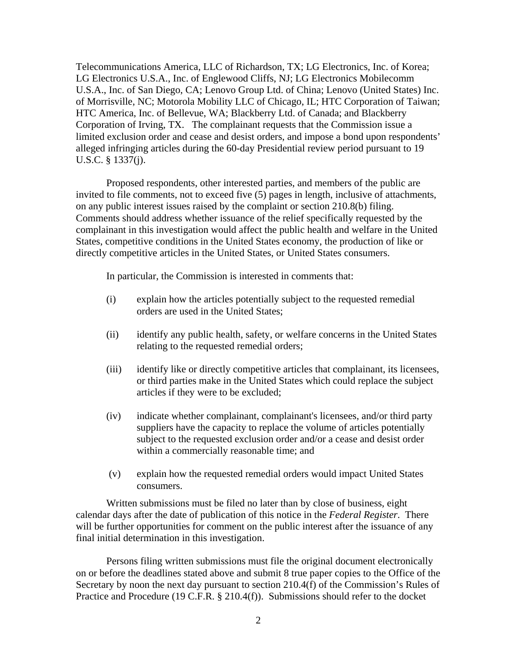Telecommunications America, LLC of Richardson, TX; LG Electronics, Inc. of Korea; LG Electronics U.S.A., Inc. of Englewood Cliffs, NJ; LG Electronics Mobilecomm U.S.A., Inc. of San Diego, CA; Lenovo Group Ltd. of China; Lenovo (United States) Inc. of Morrisville, NC; Motorola Mobility LLC of Chicago, IL; HTC Corporation of Taiwan; HTC America, Inc. of Bellevue, WA; Blackberry Ltd. of Canada; and Blackberry Corporation of Irving, TX. The complainant requests that the Commission issue a limited exclusion order and cease and desist orders, and impose a bond upon respondents' alleged infringing articles during the 60-day Presidential review period pursuant to 19 U.S.C. § 1337(j).

Proposed respondents, other interested parties, and members of the public are invited to file comments, not to exceed five (5) pages in length, inclusive of attachments, on any public interest issues raised by the complaint or section 210.8(b) filing. Comments should address whether issuance of the relief specifically requested by the complainant in this investigation would affect the public health and welfare in the United States, competitive conditions in the United States economy, the production of like or directly competitive articles in the United States, or United States consumers.

In particular, the Commission is interested in comments that:

- (i) explain how the articles potentially subject to the requested remedial orders are used in the United States;
- (ii) identify any public health, safety, or welfare concerns in the United States relating to the requested remedial orders;
- (iii) identify like or directly competitive articles that complainant, its licensees, or third parties make in the United States which could replace the subject articles if they were to be excluded;
- (iv) indicate whether complainant, complainant's licensees, and/or third party suppliers have the capacity to replace the volume of articles potentially subject to the requested exclusion order and/or a cease and desist order within a commercially reasonable time; and
- (v) explain how the requested remedial orders would impact United States consumers.

Written submissions must be filed no later than by close of business, eight calendar days after the date of publication of this notice in the *Federal Register*. There will be further opportunities for comment on the public interest after the issuance of any final initial determination in this investigation.

Persons filing written submissions must file the original document electronically on or before the deadlines stated above and submit 8 true paper copies to the Office of the Secretary by noon the next day pursuant to section 210.4(f) of the Commission's Rules of Practice and Procedure (19 C.F.R. § 210.4(f)). Submissions should refer to the docket